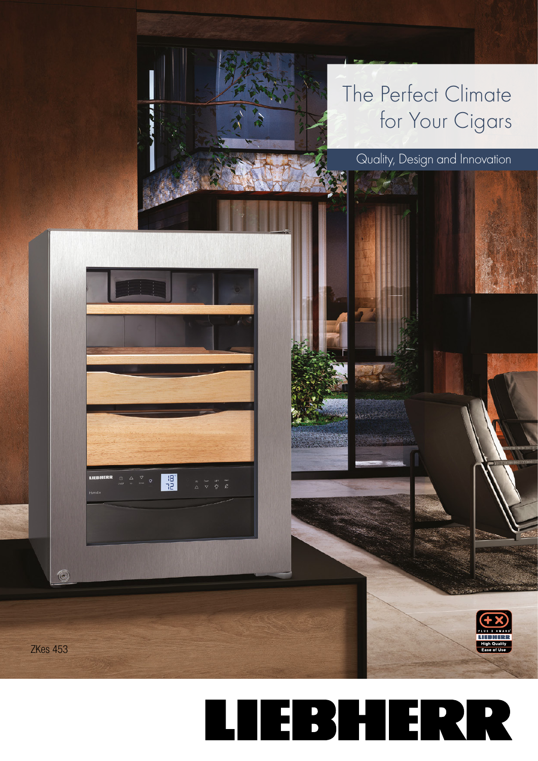## The Perfect Climate for Your Cigars



## Quality, Design and Innovation



ZKes 453

 $\circledcirc$